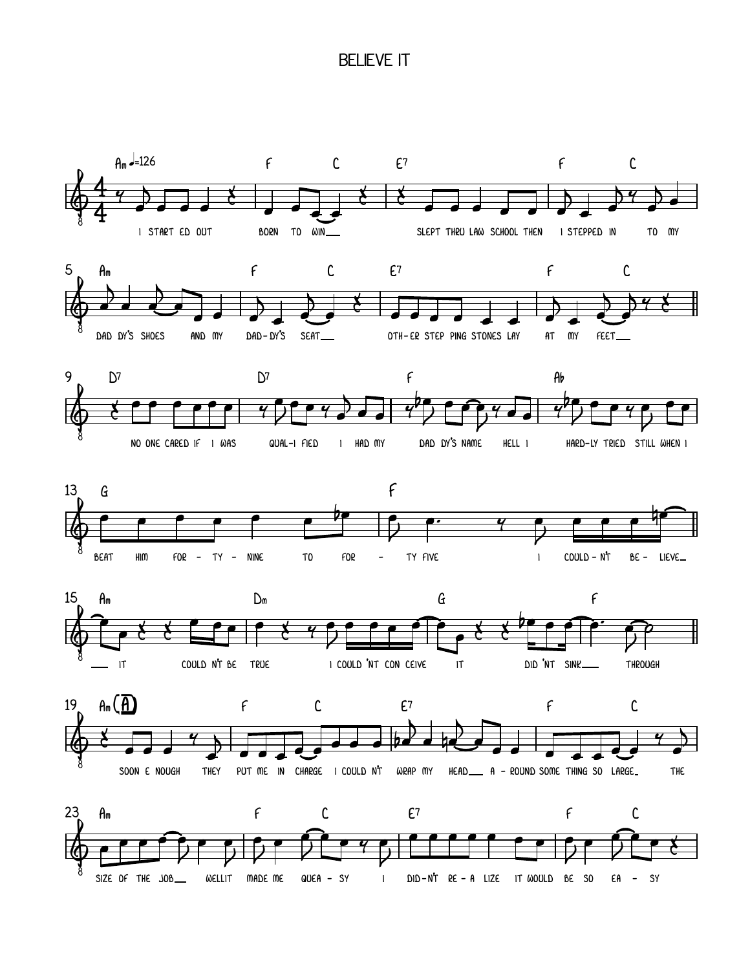## **BELIEVE IT**



OF THE JOB\_\_\_ WELLIT MADE ME QUEA - S'  $-$  SY i DID $-N^{\dagger}$  RE  $-$  A LIZE IT WOULD BE SO so ea - sy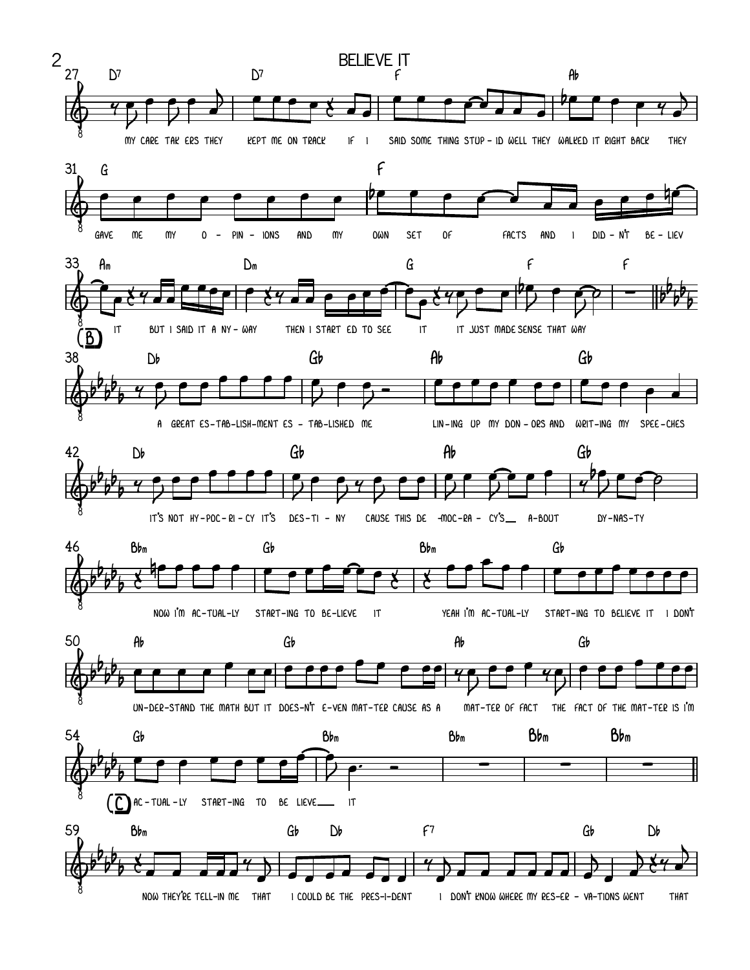